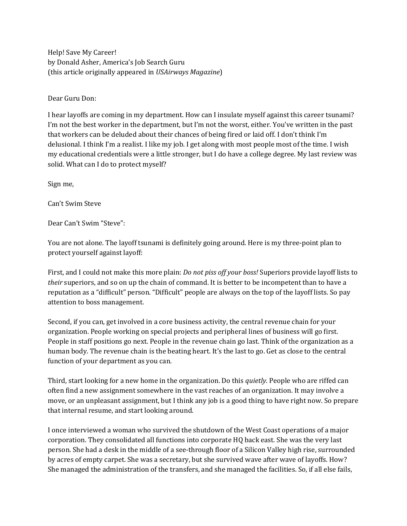Help! Save My Career! by Donald Asher, America's Job Search Guru (this article originally appeared in *USAirways Magazine*)

Dear Guru Don:

I hear layoffs are coming in my department. How can I insulate myself against this career tsunami? I'm not the best worker in the department, but I'm not the worst, either. You've written in the past that workers can be deluded about their chances of being fired or laid off. I don't think I'm delusional. I think I'm a realist. I like my job. I get along with most people most of the time. I wish my educational credentials were a little stronger, but I do have a college degree. My last review was solid. What can I do to protect myself?

Sign me,

Can't Swim Steve

Dear Can't Swim "Steve":

You are not alone. The layoff tsunami is definitely going around. Here is my three-point plan to protect yourself against layoff:

First, and I could not make this more plain: *Do not piss off your boss!* Superiors provide layoff lists to *their* superiors, and so on up the chain of command. It is better to be incompetent than to have a reputation as a "difficult" person. "Difficult" people are always on the top of the layoff lists. So pay attention to boss management.

Second, if you can, get involved in a core business activity, the central revenue chain for your organization. People working on special projects and peripheral lines of business will go first. People in staff positions go next. People in the revenue chain go last. Think of the organization as a human body. The revenue chain is the beating heart. It's the last to go. Get as close to the central function of your department as you can.

Third, start looking for a new home in the organization. Do this *quietly.* People who are riffed can often find a new assignment somewhere in the vast reaches of an organization. It may involve a move, or an unpleasant assignment, but I think any job is a good thing to have right now. So prepare that internal resume, and start looking around.

I once interviewed a woman who survived the shutdown of the West Coast operations of a major corporation. They consolidated all functions into corporate HQ back east. She was the very last person. She had a desk in the middle of a see-through floor of a Silicon Valley high rise, surrounded by acres of empty carpet. She was a secretary, but she survived wave after wave of layoffs. How? She managed the administration of the transfers, and she managed the facilities. So, if all else fails,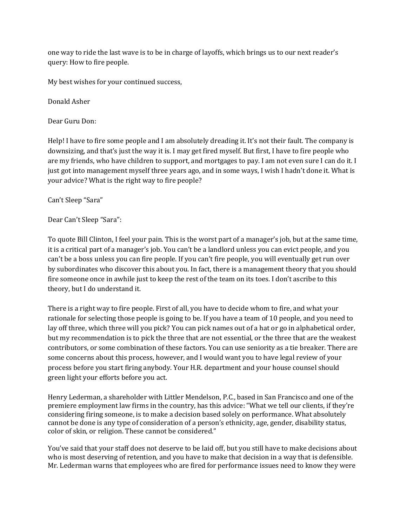one way to ride the last wave is to be in charge of layoffs, which brings us to our next reader's query: How to fire people.

My best wishes for your continued success,

Donald Asher

Dear Guru Don:

Help! I have to fire some people and I am absolutely dreading it. It's not their fault. The company is downsizing, and that's just the way it is. I may get fired myself. But first, I have to fire people who are my friends, who have children to support, and mortgages to pay. I am not even sure I can do it. I just got into management myself three years ago, and in some ways, I wish I hadn't done it. What is your advice? What is the right way to fire people?

Can't Sleep "Sara"

## Dear Can't Sleep "Sara":

To quote Bill Clinton, I feel your pain. This is the worst part of a manager's job, but at the same time, it is a critical part of a manager's job. You can't be a landlord unless you can evict people, and you can't be a boss unless you can fire people. If you can't fire people, you will eventually get run over by subordinates who discover this about you. In fact, there is a management theory that you should fire someone once in awhile just to keep the rest of the team on its toes. I don't ascribe to this theory, but I do understand it.

There is a right way to fire people. First of all, you have to decide whom to fire, and what your rationale for selecting those people is going to be. If you have a team of 10 people, and you need to lay off three, which three will you pick? You can pick names out of a hat or go in alphabetical order, but my recommendation is to pick the three that are not essential, or the three that are the weakest contributors, or some combination of these factors. You can use seniority as a tie breaker. There are some concerns about this process, however, and I would want you to have legal review of your process before you start firing anybody. Your H.R. department and your house counsel should green light your efforts before you act.

Henry Lederman, a shareholder with Littler Mendelson, P.C., based in San Francisco and one of the premiere employment law firms in the country, has this advice: "What we tell our clients, if they're considering firing someone, is to make a decision based solely on performance. What absolutely cannot be done is any type of consideration of a person's ethnicity, age, gender, disability status, color of skin, or religion. These cannot be considered."

You've said that your staff does not deserve to be laid off, but you still have to make decisions about who is most deserving of retention, and you have to make that decision in a way that is defensible. Mr. Lederman warns that employees who are fired for performance issues need to know they were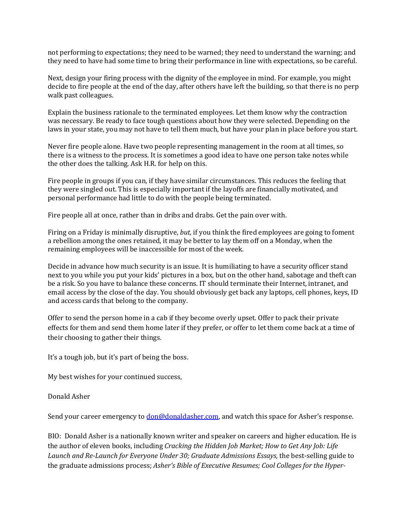not performing to expectations; they need to be warned; they need to understand the warning; and they need to have had some time to bring their performance in line with expectations, so be careful.

Next, design your firing process with the dignity of the employee in mind. For example, you might decide to fire people at the end of the day, after others have left the building, so that there is no perp walk past colleagues.

Explain the business rationale to the terminated employees. Let them know why the contraction was necessary. Be ready to face tough questions about how they were selected. Depending on the laws in your state, you may not have to tell them much, but have your plan in place before you start.

Never fire people alone. Have two people representing management in the room at all times, so there is a witness to the process. It is sometimes a good idea to have one person take notes while the other does the talking. Ask H.R. for help on this.

Fire people in groups if you can, if they have similar circumstances. This reduces the feeling that they were singled out. This is especially important if the layoffs are financially motivated, and personal performance had little to do with the people being terminated.

Fire people all at once, rather than in dribs and drabs. Get the pain over with.

Firing on a Friday is minimally disruptive, *but,* if you think the fired employees are going to foment a rebellion among the ones retained, it may be better to lay them off on a Monday, when the remaining employees will be inaccessible for most of the week.

Decide in advance how much security is an issue. It is humiliating to have a security officer stand next to you while you put your kids' pictures in a box, but on the other hand, sabotage and theft can be a risk. So you have to balance these concerns. IT should terminate their Internet, intranet, and email access by the close of the day. You should obviously get back any laptops, cell phones, keys, ID and access cards that belong to the company.

Offer to send the person home in a cab if they become overly upset. Offer to pack their private effects for them and send them home later if they prefer, or offer to let them come back at a time of their choosing to gather their things.

It's a tough job, but it's part of being the boss.

My best wishes for your continued success,

Donald Asher

Send your career emergency to **don@donaldasher.com**, and watch this space for Asher's response.

BIO: Donald Asher is a nationally known writer and speaker on careers and higher education. He is the author of eleven books, including *Cracking the Hidden Job Market; How to Get Any Job: Life Launch and Re-Launch for Everyone Under 30; Graduate Admissions Essays,* the best-selling guide to the graduate admissions process; *Asher's Bible of Executive Resumes; Cool Colleges for the Hyper-*